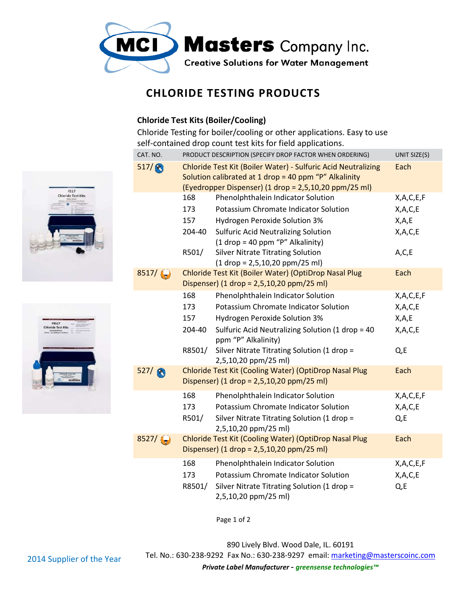

## **CHLORIDE TESTING PRODUCTS CHLORIDE TESTING**

## **Chloride Test Kits (Boiler/Cooling) Kits**

Chloride Testing for boiler/cooling or other applications. Easy to use self-contained drop count test kits for field applications.

| CAT. NO.          | PRODUCT DESCRIPTION (SPECIFY DROP FACTOR WHEN ORDERING)<br>UNIT SIZE(S)                                                                 |                                                                                                                                                                                 |                                   |  |
|-------------------|-----------------------------------------------------------------------------------------------------------------------------------------|---------------------------------------------------------------------------------------------------------------------------------------------------------------------------------|-----------------------------------|--|
| 517/              |                                                                                                                                         | Chloride Test Kit (Boiler Water) - Sulfuric Acid Neutralizing<br>Solution calibrated at 1 drop = 40 ppm "P" Alkalinity<br>(Eyedropper Dispenser) (1 drop = 2,5,10,20 ppm/25 ml) | Each                              |  |
|                   | 168                                                                                                                                     | Phenolphthalein Indicator Solution                                                                                                                                              | X,A,C,E,F                         |  |
|                   | 173                                                                                                                                     | Potassium Chromate Indicator Solution                                                                                                                                           | X, A, C, E                        |  |
|                   | 157                                                                                                                                     | Hydrogen Peroxide Solution 3%                                                                                                                                                   | X, A, E                           |  |
|                   | 204-40                                                                                                                                  | <b>Sulfuric Acid Neutralizing Solution</b><br>$(1$ drop = 40 ppm "P" Alkalinity)                                                                                                | X,A,C,E                           |  |
|                   | R501/                                                                                                                                   | <b>Silver Nitrate Titrating Solution</b><br>$(1 drop = 2,5,10,20 ppm/25 ml)$                                                                                                    | A, C, E                           |  |
| 8517/             | Chloride Test Kit (Boiler Water) (OptiDrop Nasal Plug<br>Each<br>Dispenser) (1 drop = 2,5,10,20 ppm/25 ml)                              |                                                                                                                                                                                 |                                   |  |
|                   | 168                                                                                                                                     | Phenolphthalein Indicator Solution                                                                                                                                              | X,A,C,E,F                         |  |
|                   | 173                                                                                                                                     | Potassium Chromate Indicator Solution                                                                                                                                           | X, A, C, E                        |  |
|                   | 157                                                                                                                                     | Hydrogen Peroxide Solution 3%                                                                                                                                                   | X,A,E                             |  |
|                   | 204-40                                                                                                                                  | Sulfuric Acid Neutralizing Solution (1 drop = 40<br>ppm "P" Alkalinity)                                                                                                         | X,A,C,E                           |  |
|                   | R8501/                                                                                                                                  | Silver Nitrate Titrating Solution (1 drop =<br>2,5,10,20 ppm/25 ml)                                                                                                             | $Qz$ E                            |  |
| 527/              | Chloride Test Kit (Cooling Water) (OptiDrop Nasal Plug<br>Each<br>Dispenser) $(1 \text{ drop} = 2.5, 10, 20 \text{ ppm}/25 \text{ ml})$ |                                                                                                                                                                                 |                                   |  |
|                   | 168<br>173<br>R501/                                                                                                                     | Phenolphthalein Indicator Solution<br>Potassium Chromate Indicator Solution<br>Silver Nitrate Titrating Solution (1 drop =<br>2,5,10,20 ppm/25 ml)                              | X,A,C,E,F<br>X, A, C, E<br>$Qz$ E |  |
| $8527 / \text{ }$ |                                                                                                                                         | Chloride Test Kit (Cooling Water) (OptiDrop Nasal Plug<br>Dispenser) (1 drop = $2,5,10,20$ ppm/25 ml)                                                                           |                                   |  |
|                   | 168<br>173<br>R8501/                                                                                                                    | Phenolphthalein Indicator Solution<br>Potassium Chromate Indicator Solution<br>Silver Nitrate Titrating Solution (1 drop =<br>2,5,10,20 ppm/25 ml)                              | X,A,C,E,F<br>X, A, C, E<br>Q,E    |  |

Page 1 of 2

890 Lively Blvd. Wood Dale, IL. 60191 60191







*Private Label Manufacturer - greensense technologies™*

2014 Supplier of the Year